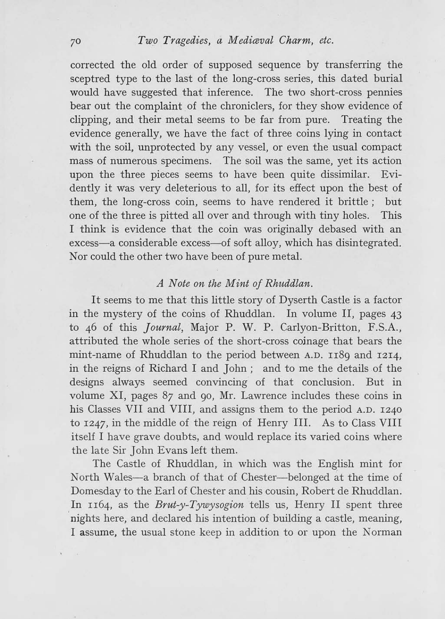corrected the old order of supposed sequence by transferring the sceptred type to the last of the long-cross series, this dated burial would have suggested that inference. The two short-cross pennies bear out the complaint of the chroniclers, for they show evidence of clipping, and their metal seems to be far from pure. Treating the evidence generally, we have the fact of three coins lying in contact with the soil, unprotected by any vessel, or even the usual compact mass of numerous specimens. The soil was the same, yet its action upon the three pieces seems to have been quite dissimilar. Evidently it was very deleterious to all, for its effect upon the best of them, the long-cross coin, seems to have rendered it brittle; but one of the three is pitted all over and through with tiny holes. This I think is evidence that the coin was originally debased with an excess-a considerable excess-of soft alloy, which has disintegrated. Nor could the other two have been of pure metal.

## *A Note on the Mint of Rhuddlan.*

It seems to me that this little story of Dyserth Castle is a factor in the mystery of the coins of Rhuddlan. In volume II, pages 43 to 46 of this *Journal*, Major P. W. P. Carlyon-Britton, F.S.A., attributed the whole series of the short-cross coinage that bears the mint-name of Rhuddlan to the period between A.D. rr8g and 1214, in the reigns of Richard I and John; and to me the details of the designs always seemed convincing of that conclusion. But in volume XI, pages 87 and go, Mr. Lawrence includes these coins in his Classes VII and VIII, and assigns them to the period A.D. 1240 to 1247, in the middle of the reign of Henry III. As to Class VIII itself I have grave doubts, and would replace its varied coins where the late Sir John Evans left them.

The Castle of Rhuddlan, in which was the English mint for North Wales-a branch of that of Chester-belonged at the time of Domesday to the Earl of Chester and his cousin, Robert de Rhuddlan. In rr64, as the *Brut-y-Tywysogion* tells us, Henry II spent three nights here, and declared his intention of building a castle, meaning, I assume, the usual stone keep in addition to or upon the Norman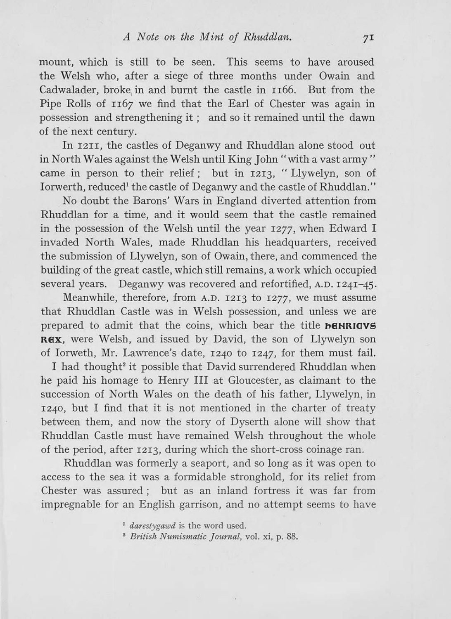mount, which is still to be seen. This seems to have aroused the Welsh who, after a siege of three months under Owain and Cadwalader, broke, in and burnt the castle in II66. But from the Pipe Rolls of II67 we find that the Earl of Chester was again in possession and strengthening it; and so it remained until the dawn of the next century.

In I2II, the castles of Deganwy and Rhuddlan alone stood out in North Wales against the Welsh until King John "with a vast army" came in person to their relief; but in I2I3, "Llywelyn, son of Iorwerth, reduced<sup>1</sup> the castle of Deganwy and the castle of Rhuddlan."

No doubt the Barons' Wars in England diverted attention from Rhuddlan for a time, and it would seem that the castle remained in the possession of the Welsh until the year I277, when Edward I invaded North Wales, made Rhuddlan his headquarters, received the submission of Llywelyn, son of Owain, there, and commenced the building of the great castle, which still remains, a work which occupied several years. Deganwy was recovered and refortified, A.D. 1241-45.

Meanwhile, therefore, from A.D. 1213 to IZ77, we must assume that Rhuddlan Castle was in Welsh possession, and unless we are prepared to admit that the coins, which bear the title **baNRIOVS R8X,** were Welsh, and issued by David, the son of Llywelyn son of Iorweth, Mr. Lawrence's date, 1240 to 1247, for them must fail.

I had thought<sup>2</sup> it possible that David surrendered Rhuddlan when he paid his homage to Henry III at Gloucester, as claimant to the succession of North Wales on the death of his father, Llywelyn, in 1240, but I find that it is not mentioned in the charter of treaty between them, and now the story of Dyserth alone will show that Rhuddlan Castle must have remained Welsh throughout the whole of the period, after 1213, during which the short-cross coinage ran.

Rhuddlan was formerly a seaport, and so long as it was open to access to the sea it was a formidable stronghold, for its relief from Chester was assured; but as an inland fortress it was far from impregnable for an English garrison, and no attempt seems to have

<sup>1</sup> darestygawd is the word used.

*2 British Numismatic Journal,* vol. xi, p. 88.